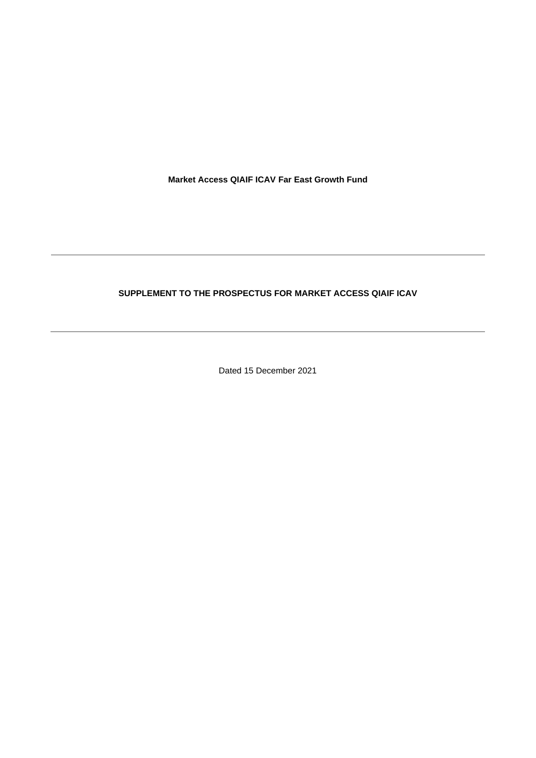**Market Access QIAIF ICAV Far East Growth Fund**

# **SUPPLEMENT TO THE PROSPECTUS FOR MARKET ACCESS QIAIF ICAV**

Dated 15 December 2021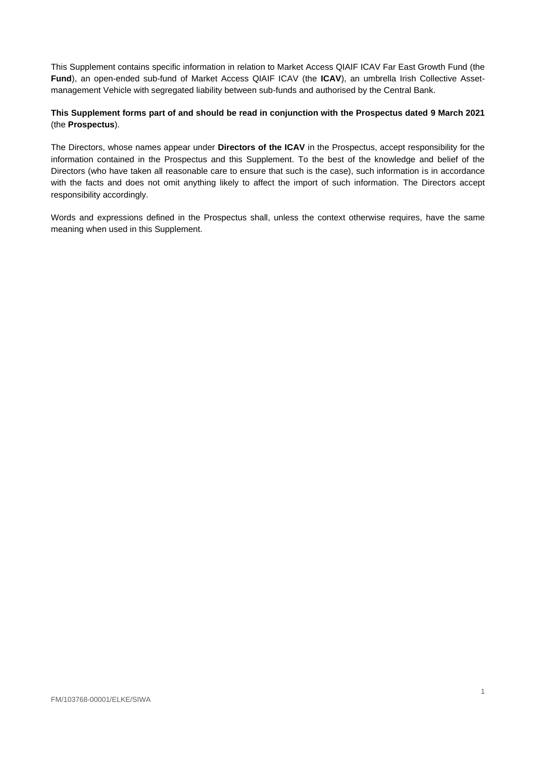This Supplement contains specific information in relation to Market Access QIAIF ICAV Far East Growth Fund (the **Fund**), an open-ended sub-fund of Market Access QIAIF ICAV (the **ICAV**), an umbrella Irish Collective Assetmanagement Vehicle with segregated liability between sub-funds and authorised by the Central Bank.

## **This Supplement forms part of and should be read in conjunction with the Prospectus dated 9 March 2021** (the **Prospectus**).

The Directors, whose names appear under **Directors of the ICAV** in the Prospectus, accept responsibility for the information contained in the Prospectus and this Supplement. To the best of the knowledge and belief of the Directors (who have taken all reasonable care to ensure that such is the case), such information is in accordance with the facts and does not omit anything likely to affect the import of such information. The Directors accept responsibility accordingly.

Words and expressions defined in the Prospectus shall, unless the context otherwise requires, have the same meaning when used in this Supplement.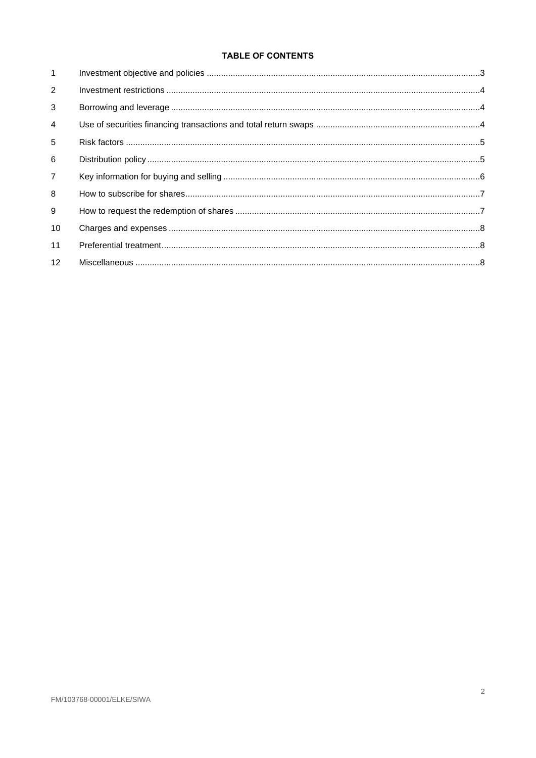# **TABLE OF CONTENTS**

| $\mathbf{1}$   |  |
|----------------|--|
| 2              |  |
| 3              |  |
| $\overline{4}$ |  |
| 5              |  |
| 6              |  |
| $\overline{7}$ |  |
| 8              |  |
| 9              |  |
| 10             |  |
| 11             |  |
| 12             |  |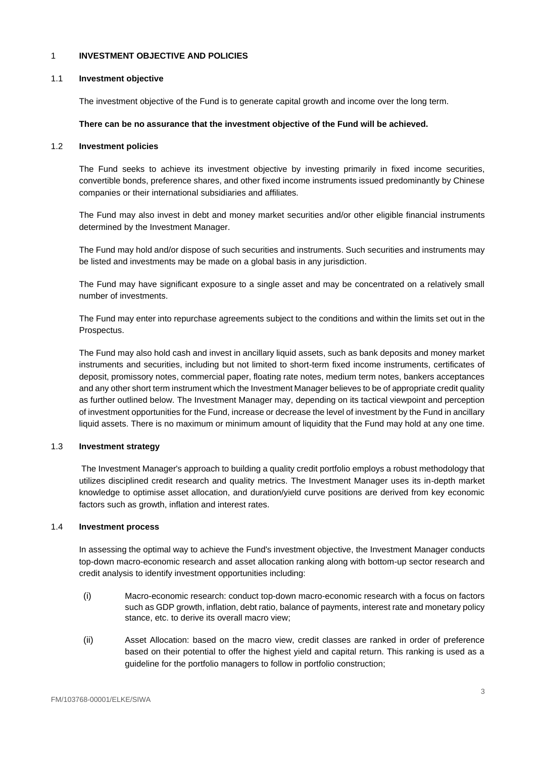### <span id="page-3-0"></span>1 **INVESTMENT OBJECTIVE AND POLICIES**

#### 1.1 **Investment objective**

The investment objective of the Fund is to generate capital growth and income over the long term.

## **There can be no assurance that the investment objective of the Fund will be achieved.**

## 1.2 **Investment policies**

The Fund seeks to achieve its investment objective by investing primarily in fixed income securities, convertible bonds, preference shares, and other fixed income instruments issued predominantly by Chinese companies or their international subsidiaries and affiliates.

The Fund may also invest in debt and money market securities and/or other eligible financial instruments determined by the Investment Manager.

The Fund may hold and/or dispose of such securities and instruments. Such securities and instruments may be listed and investments may be made on a global basis in any jurisdiction.

The Fund may have significant exposure to a single asset and may be concentrated on a relatively small number of investments.

The Fund may enter into repurchase agreements subject to the conditions and within the limits set out in the Prospectus.

The Fund may also hold cash and invest in ancillary liquid assets, such as bank deposits and money market instruments and securities, including but not limited to short-term fixed income instruments, certificates of deposit, promissory notes, commercial paper, floating rate notes, medium term notes, bankers acceptances and any other short term instrument which the Investment Manager believes to be of appropriate credit quality as further outlined below. The Investment Manager may, depending on its tactical viewpoint and perception of investment opportunities for the Fund, increase or decrease the level of investment by the Fund in ancillary liquid assets. There is no maximum or minimum amount of liquidity that the Fund may hold at any one time.

## 1.3 **Investment strategy**

The Investment Manager's approach to building a quality credit portfolio employs a robust methodology that utilizes disciplined credit research and quality metrics. The Investment Manager uses its in-depth market knowledge to optimise asset allocation, and duration/yield curve positions are derived from key economic factors such as growth, inflation and interest rates.

## 1.4 **Investment process**

In assessing the optimal way to achieve the Fund's investment objective, the Investment Manager conducts top-down macro-economic research and asset allocation ranking along with bottom-up sector research and credit analysis to identify investment opportunities including:

- (i) Macro-economic research: conduct top-down macro-economic research with a focus on factors such as GDP growth, inflation, debt ratio, balance of payments, interest rate and monetary policy stance, etc. to derive its overall macro view;
- (ii) Asset Allocation: based on the macro view, credit classes are ranked in order of preference based on their potential to offer the highest yield and capital return. This ranking is used as a guideline for the portfolio managers to follow in portfolio construction;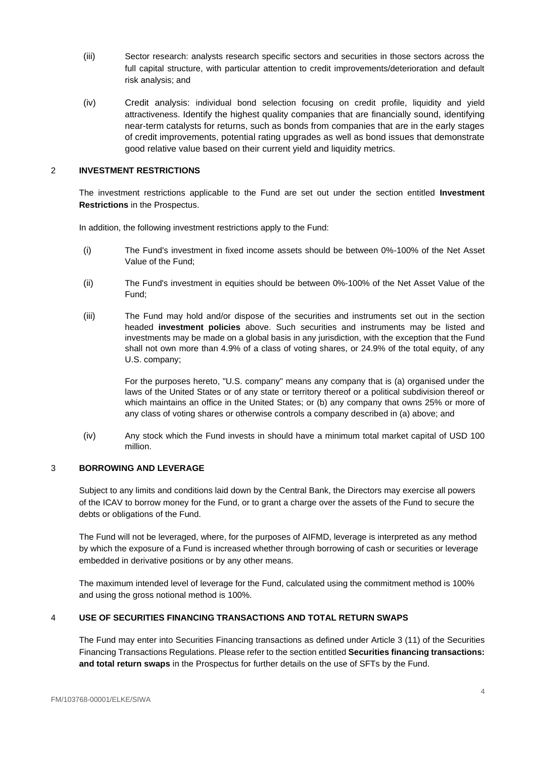- (iii) Sector research: analysts research specific sectors and securities in those sectors across the full capital structure, with particular attention to credit improvements/deterioration and default risk analysis; and
- (iv) Credit analysis: individual bond selection focusing on credit profile, liquidity and yield attractiveness. Identify the highest quality companies that are financially sound, identifying near-term catalysts for returns, such as bonds from companies that are in the early stages of credit improvements, potential rating upgrades as well as bond issues that demonstrate good relative value based on their current yield and liquidity metrics.

## <span id="page-4-0"></span>2 **INVESTMENT RESTRICTIONS**

The investment restrictions applicable to the Fund are set out under the section entitled **Investment Restrictions** in the Prospectus.

In addition, the following investment restrictions apply to the Fund:

- (i) The Fund's investment in fixed income assets should be between 0%-100% of the Net Asset Value of the Fund;
- (ii) The Fund's investment in equities should be between 0%-100% of the Net Asset Value of the Fund;
- (iii) The Fund may hold and/or dispose of the securities and instruments set out in the section headed **investment policies** above. Such securities and instruments may be listed and investments may be made on a global basis in any jurisdiction, with the exception that the Fund shall not own more than 4.9% of a class of voting shares, or 24.9% of the total equity, of any U.S. company;

For the purposes hereto, "U.S. company" means any company that is (a) organised under the laws of the United States or of any state or territory thereof or a political subdivision thereof or which maintains an office in the United States; or (b) any company that owns 25% or more of any class of voting shares or otherwise controls a company described in (a) above; and

(iv) Any stock which the Fund invests in should have a minimum total market capital of USD 100 million.

## <span id="page-4-1"></span>3 **BORROWING AND LEVERAGE**

Subject to any limits and conditions laid down by the Central Bank, the Directors may exercise all powers of the ICAV to borrow money for the Fund, or to grant a charge over the assets of the Fund to secure the debts or obligations of the Fund.

<span id="page-4-2"></span>The Fund will not be leveraged, where, for the purposes of AIFMD, leverage is interpreted as any method by which the exposure of a Fund is increased whether through borrowing of cash or securities or leverage embedded in derivative positions or by any other means.

The maximum intended level of leverage for the Fund, calculated using the commitment method is 100% and using the gross notional method is 100%.

## 4 **USE OF SECURITIES FINANCING TRANSACTIONS AND TOTAL RETURN SWAPS**

The Fund may enter into Securities Financing transactions as defined under Article 3 (11) of the Securities Financing Transactions Regulations. Please refer to the section entitled **Securities financing transactions: and total return swaps** in the Prospectus for further details on the use of SFTs by the Fund.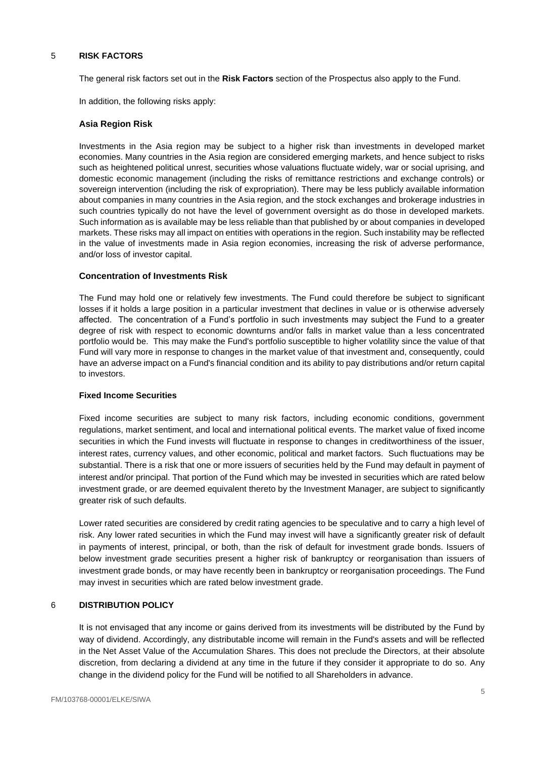## <span id="page-5-0"></span>5 **RISK FACTORS**

The general risk factors set out in the **Risk Factors** section of the Prospectus also apply to the Fund.

In addition, the following risks apply:

### **Asia Region Risk**

Investments in the Asia region may be subject to a higher risk than investments in developed market economies. Many countries in the Asia region are considered emerging markets, and hence subject to risks such as heightened political unrest, securities whose valuations fluctuate widely, war or social uprising, and domestic economic management (including the risks of remittance restrictions and exchange controls) or sovereign intervention (including the risk of expropriation). There may be less publicly available information about companies in many countries in the Asia region, and the stock exchanges and brokerage industries in such countries typically do not have the level of government oversight as do those in developed markets. Such information as is available may be less reliable than that published by or about companies in developed markets. These risks may all impact on entities with operations in the region. Such instability may be reflected in the value of investments made in Asia region economies, increasing the risk of adverse performance, and/or loss of investor capital.

## **Concentration of Investments Risk**

The Fund may hold one or relatively few investments. The Fund could therefore be subject to significant losses if it holds a large position in a particular investment that declines in value or is otherwise adversely affected. The concentration of a Fund's portfolio in such investments may subject the Fund to a greater degree of risk with respect to economic downturns and/or falls in market value than a less concentrated portfolio would be. This may make the Fund's portfolio susceptible to higher volatility since the value of that Fund will vary more in response to changes in the market value of that investment and, consequently, could have an adverse impact on a Fund's financial condition and its ability to pay distributions and/or return capital to investors.

#### **Fixed Income Securities**

Fixed income securities are subject to many risk factors, including economic conditions, government regulations, market sentiment, and local and international political events. The market value of fixed income securities in which the Fund invests will fluctuate in response to changes in creditworthiness of the issuer, interest rates, currency values, and other economic, political and market factors. Such fluctuations may be substantial. There is a risk that one or more issuers of securities held by the Fund may default in payment of interest and/or principal. That portion of the Fund which may be invested in securities which are rated below investment grade, or are deemed equivalent thereto by the Investment Manager, are subject to significantly greater risk of such defaults.

Lower rated securities are considered by credit rating agencies to be speculative and to carry a high level of risk. Any lower rated securities in which the Fund may invest will have a significantly greater risk of default in payments of interest, principal, or both, than the risk of default for investment grade bonds. Issuers of below investment grade securities present a higher risk of bankruptcy or reorganisation than issuers of investment grade bonds, or may have recently been in bankruptcy or reorganisation proceedings. The Fund may invest in securities which are rated below investment grade.

## <span id="page-5-1"></span>6 **DISTRIBUTION POLICY**

It is not envisaged that any income or gains derived from its investments will be distributed by the Fund by way of dividend. Accordingly, any distributable income will remain in the Fund's assets and will be reflected in the Net Asset Value of the Accumulation Shares. This does not preclude the Directors, at their absolute discretion, from declaring a dividend at any time in the future if they consider it appropriate to do so. Any change in the dividend policy for the Fund will be notified to all Shareholders in advance.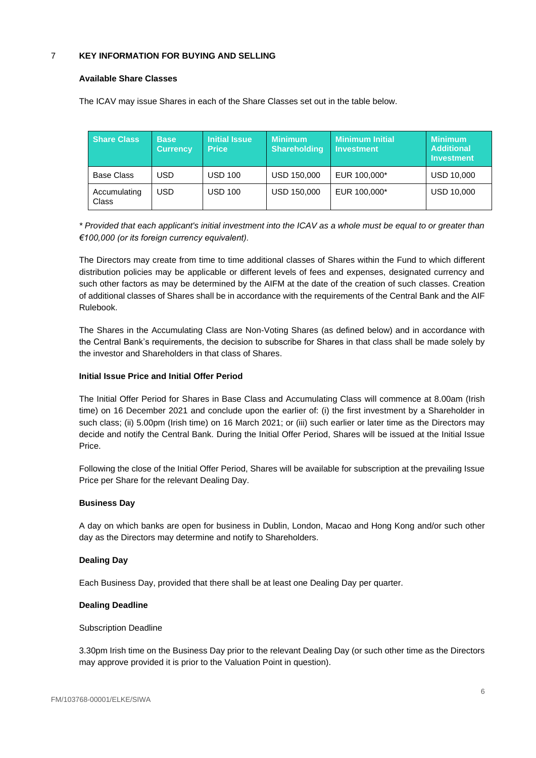## <span id="page-6-0"></span>7 **KEY INFORMATION FOR BUYING AND SELLING**

### **Available Share Classes**

The ICAV may issue Shares in each of the Share Classes set out in the table below.

| <b>Share Class</b>    | <b>Base</b><br><b>Currency</b> | <b>Initial Issue</b><br><b>Price</b> | <b>Minimum</b><br><b>Shareholding</b> | <b>Minimum Initial</b><br><b>Investment</b> | <b>Minimum</b><br><b>Additional</b><br><b>Investment</b> |
|-----------------------|--------------------------------|--------------------------------------|---------------------------------------|---------------------------------------------|----------------------------------------------------------|
| <b>Base Class</b>     | USD                            | USD 100                              | USD 150,000                           | EUR 100,000*                                | <b>USD 10,000</b>                                        |
| Accumulating<br>Class | USD                            | USD 100                              | USD 150,000                           | EUR 100,000*                                | <b>USD 10,000</b>                                        |

*\* Provided that each applicant's initial investment into the ICAV as a whole must be equal to or greater than €100,000 (or its foreign currency equivalent).*

The Directors may create from time to time additional classes of Shares within the Fund to which different distribution policies may be applicable or different levels of fees and expenses, designated currency and such other factors as may be determined by the AIFM at the date of the creation of such classes. Creation of additional classes of Shares shall be in accordance with the requirements of the Central Bank and the AIF Rulebook.

The Shares in the Accumulating Class are Non-Voting Shares (as defined below) and in accordance with the Central Bank's requirements, the decision to subscribe for Shares in that class shall be made solely by the investor and Shareholders in that class of Shares.

## **Initial Issue Price and Initial Offer Period**

The Initial Offer Period for Shares in Base Class and Accumulating Class will commence at 8.00am (Irish time) on 16 December 2021 and conclude upon the earlier of: (i) the first investment by a Shareholder in such class; (ii) 5.00pm (Irish time) on 16 March 2021; or (iii) such earlier or later time as the Directors may decide and notify the Central Bank. During the Initial Offer Period, Shares will be issued at the Initial Issue Price.

Following the close of the Initial Offer Period, Shares will be available for subscription at the prevailing Issue Price per Share for the relevant Dealing Day.

## **Business Day**

A day on which banks are open for business in Dublin, London, Macao and Hong Kong and/or such other day as the Directors may determine and notify to Shareholders.

## **Dealing Day**

Each Business Day, provided that there shall be at least one Dealing Day per quarter.

## **Dealing Deadline**

#### Subscription Deadline

3.30pm Irish time on the Business Day prior to the relevant Dealing Day (or such other time as the Directors may approve provided it is prior to the Valuation Point in question).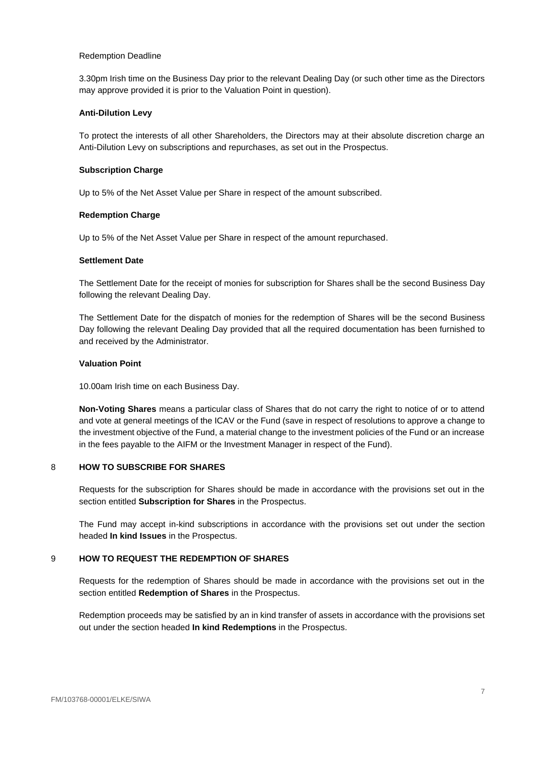### Redemption Deadline

3.30pm Irish time on the Business Day prior to the relevant Dealing Day (or such other time as the Directors may approve provided it is prior to the Valuation Point in question).

### **Anti-Dilution Levy**

To protect the interests of all other Shareholders, the Directors may at their absolute discretion charge an Anti-Dilution Levy on subscriptions and repurchases, as set out in the Prospectus.

#### **Subscription Charge**

Up to 5% of the Net Asset Value per Share in respect of the amount subscribed.

## **Redemption Charge**

Up to 5% of the Net Asset Value per Share in respect of the amount repurchased.

#### **Settlement Date**

The Settlement Date for the receipt of monies for subscription for Shares shall be the second Business Day following the relevant Dealing Day.

The Settlement Date for the dispatch of monies for the redemption of Shares will be the second Business Day following the relevant Dealing Day provided that all the required documentation has been furnished to and received by the Administrator.

### **Valuation Point**

10.00am Irish time on each Business Day.

**Non-Voting Shares** means a particular class of Shares that do not carry the right to notice of or to attend and vote at general meetings of the ICAV or the Fund (save in respect of resolutions to approve a change to the investment objective of the Fund, a material change to the investment policies of the Fund or an increase in the fees payable to the AIFM or the Investment Manager in respect of the Fund).

## <span id="page-7-0"></span>8 **HOW TO SUBSCRIBE FOR SHARES**

Requests for the subscription for Shares should be made in accordance with the provisions set out in the section entitled **Subscription for Shares** in the Prospectus.

The Fund may accept in-kind subscriptions in accordance with the provisions set out under the section headed **In kind Issues** in the Prospectus.

## <span id="page-7-1"></span>9 **HOW TO REQUEST THE REDEMPTION OF SHARES**

Requests for the redemption of Shares should be made in accordance with the provisions set out in the section entitled **Redemption of Shares** in the Prospectus.

Redemption proceeds may be satisfied by an in kind transfer of assets in accordance with the provisions set out under the section headed **In kind Redemptions** in the Prospectus.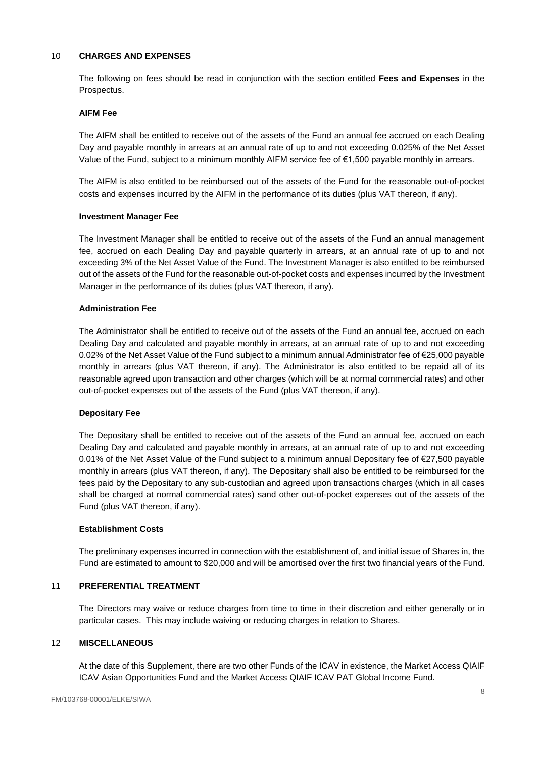## <span id="page-8-0"></span>10 **CHARGES AND EXPENSES**

The following on fees should be read in conjunction with the section entitled **Fees and Expenses** in the Prospectus.

#### **AIFM Fee**

The AIFM shall be entitled to receive out of the assets of the Fund an annual fee accrued on each Dealing Day and payable monthly in arrears at an annual rate of up to and not exceeding 0.025% of the Net Asset Value of the Fund, subject to a minimum monthly AIFM service fee of  $\epsilon$ 1,500 payable monthly in arrears.

The AIFM is also entitled to be reimbursed out of the assets of the Fund for the reasonable out-of-pocket costs and expenses incurred by the AIFM in the performance of its duties (plus VAT thereon, if any).

#### **Investment Manager Fee**

The Investment Manager shall be entitled to receive out of the assets of the Fund an annual management fee, accrued on each Dealing Day and payable quarterly in arrears, at an annual rate of up to and not exceeding 3% of the Net Asset Value of the Fund. The Investment Manager is also entitled to be reimbursed out of the assets of the Fund for the reasonable out-of-pocket costs and expenses incurred by the Investment Manager in the performance of its duties (plus VAT thereon, if any).

### **Administration Fee**

The Administrator shall be entitled to receive out of the assets of the Fund an annual fee, accrued on each Dealing Day and calculated and payable monthly in arrears, at an annual rate of up to and not exceeding 0.02% of the Net Asset Value of the Fund subject to a minimum annual Administrator fee of €25,000 payable monthly in arrears (plus VAT thereon, if any). The Administrator is also entitled to be repaid all of its reasonable agreed upon transaction and other charges (which will be at normal commercial rates) and other out-of-pocket expenses out of the assets of the Fund (plus VAT thereon, if any).

#### **Depositary Fee**

The Depositary shall be entitled to receive out of the assets of the Fund an annual fee, accrued on each Dealing Day and calculated and payable monthly in arrears, at an annual rate of up to and not exceeding 0.01% of the Net Asset Value of the Fund subject to a minimum annual Depositary fee of €27,500 payable monthly in arrears (plus VAT thereon, if any). The Depositary shall also be entitled to be reimbursed for the fees paid by the Depositary to any sub-custodian and agreed upon transactions charges (which in all cases shall be charged at normal commercial rates) sand other out-of-pocket expenses out of the assets of the Fund (plus VAT thereon, if any).

### **Establishment Costs**

The preliminary expenses incurred in connection with the establishment of, and initial issue of Shares in, the Fund are estimated to amount to \$20,000 and will be amortised over the first two financial years of the Fund.

## <span id="page-8-1"></span>11 **PREFERENTIAL TREATMENT**

The Directors may waive or reduce charges from time to time in their discretion and either generally or in particular cases. This may include waiving or reducing charges in relation to Shares.

#### <span id="page-8-2"></span>12 **MISCELLANEOUS**

At the date of this Supplement, there are two other Funds of the ICAV in existence, the Market Access QIAIF ICAV Asian Opportunities Fund and the Market Access QIAIF ICAV PAT Global Income Fund.